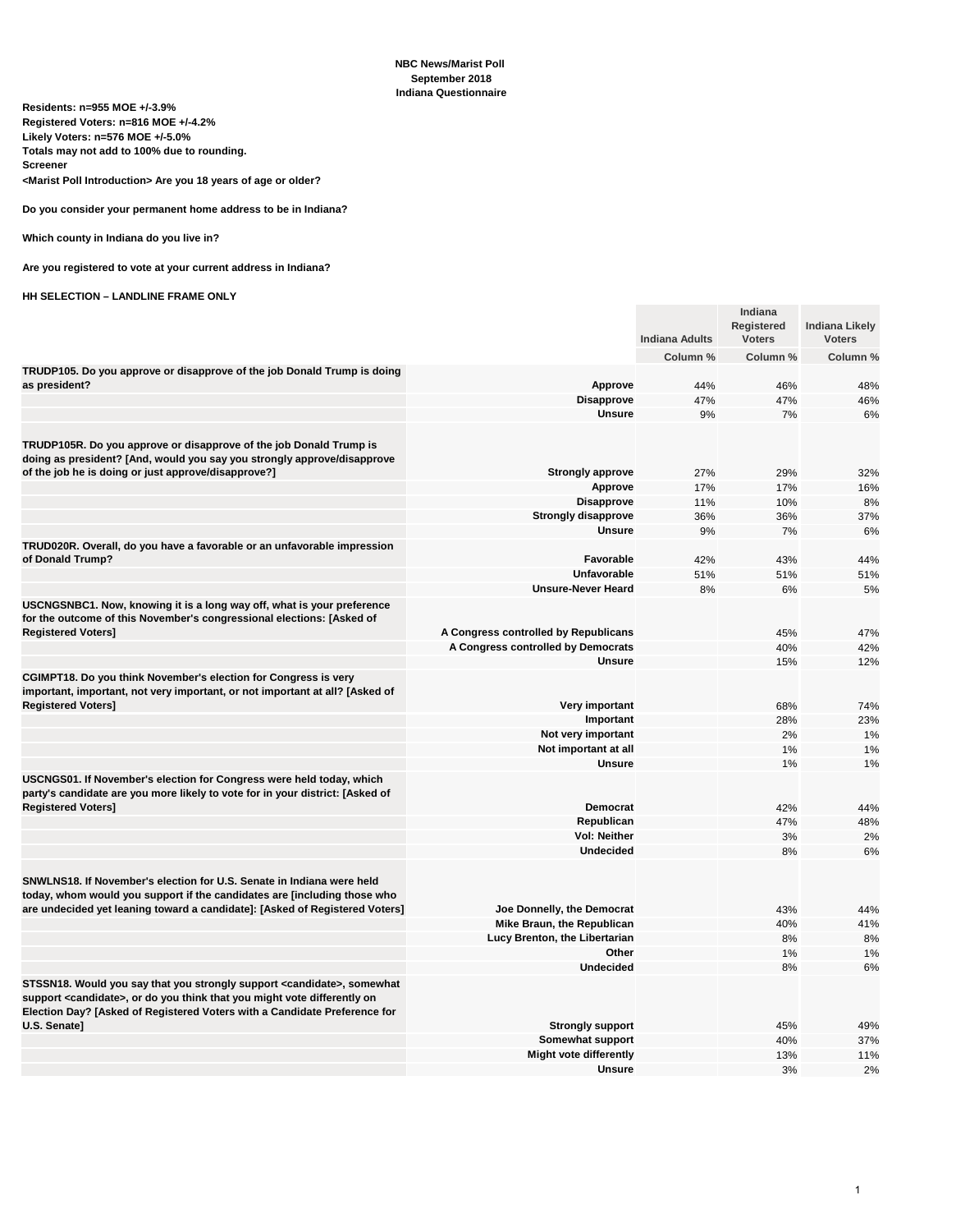| Residents: n=955 MOE +/-3.9%<br>Registered Voters: n=816 MOE +/-4.2%<br>Likely Voters: n=576 MOE +/-5.0%<br>Totals may not add to 100% due to rounding.                                                                                                  |                                                |                       |                                               |                                        |
|----------------------------------------------------------------------------------------------------------------------------------------------------------------------------------------------------------------------------------------------------------|------------------------------------------------|-----------------------|-----------------------------------------------|----------------------------------------|
| Screener<br><marist introduction="" poll=""> Are you 18 years of age or older?</marist>                                                                                                                                                                  |                                                |                       |                                               |                                        |
| Do you consider your permanent home address to be in Indiana?                                                                                                                                                                                            |                                                |                       |                                               |                                        |
| Which county in Indiana do you live in?                                                                                                                                                                                                                  |                                                |                       |                                               |                                        |
| Are you registered to vote at your current address in Indiana?                                                                                                                                                                                           |                                                |                       |                                               |                                        |
| <b>HH SELECTION - LANDLINE FRAME ONLY</b>                                                                                                                                                                                                                |                                                |                       |                                               |                                        |
|                                                                                                                                                                                                                                                          |                                                | <b>Indiana Adults</b> | <b>Indiana</b><br>Registered<br><b>Voters</b> | <b>Indiana Likely</b><br><b>Voters</b> |
| TRUDP105. Do you approve or disapprove of the job Donald Trump is doing                                                                                                                                                                                  |                                                | Column %              | Column %                                      | Column %                               |
| as president?                                                                                                                                                                                                                                            | <b>Approve</b>                                 | 44%                   | 46%                                           | 48%                                    |
|                                                                                                                                                                                                                                                          | <b>Disapprove</b>                              | 47%                   | 47%                                           | 46%                                    |
|                                                                                                                                                                                                                                                          | <b>Unsure</b>                                  | 9%                    | 7%                                            | 6%                                     |
| TRUDP105R. Do you approve or disapprove of the job Donald Trump is<br>doing as president? [And, would you say you strongly approve/disapprove                                                                                                            |                                                |                       |                                               |                                        |
| of the job he is doing or just approve/disapprove?]                                                                                                                                                                                                      | <b>Strongly approve</b>                        | 27%                   | 29%                                           | 32%                                    |
|                                                                                                                                                                                                                                                          | <b>Approve</b><br><b>Disapprove</b>            | 17%<br>11%            | 17%<br>10%                                    | 16%<br>8%                              |
|                                                                                                                                                                                                                                                          | <b>Strongly disapprove</b>                     | 36%                   | 36%                                           | 37%                                    |
|                                                                                                                                                                                                                                                          | <b>Unsure</b>                                  | 9%                    | 7%                                            | 6%                                     |
| TRUD020R. Overall, do you have a favorable or an unfavorable impression                                                                                                                                                                                  |                                                |                       |                                               |                                        |
| of Donald Trump?                                                                                                                                                                                                                                         | Favorable                                      | 42%                   | 43%                                           | 44%                                    |
|                                                                                                                                                                                                                                                          | <b>Unfavorable</b>                             | 51%                   | 51%                                           | 51%                                    |
| USCNGSNBC1. Now, knowing it is a long way off, what is your preference<br>for the outcome of this November's congressional elections: [Asked of                                                                                                          | <b>Unsure-Never Heard</b>                      | 8%                    | 6%                                            | 5%                                     |
| <b>Registered Voters]</b>                                                                                                                                                                                                                                | A Congress controlled by Republicans           |                       | 45%                                           | 47%                                    |
|                                                                                                                                                                                                                                                          | A Congress controlled by Democrats             |                       | 40%                                           | 42%                                    |
|                                                                                                                                                                                                                                                          | <b>Unsure</b>                                  |                       | 15%                                           | 12%                                    |
| CGIMPT18. Do you think November's election for Congress is very<br>important, important, not very important, or not important at all? [Asked of<br><b>Registered Voters]</b>                                                                             | Very important                                 |                       | 68%                                           | 74%                                    |
|                                                                                                                                                                                                                                                          | Important                                      |                       | 28%                                           | 23%                                    |
|                                                                                                                                                                                                                                                          | Not very important                             |                       | 2%                                            | 1%                                     |
|                                                                                                                                                                                                                                                          | Not important at all                           |                       | 1%                                            | 1%                                     |
|                                                                                                                                                                                                                                                          | <b>Unsure</b>                                  |                       | 1%                                            | 1%                                     |
| USCNGS01. If November's election for Congress were held today, which<br>party's candidate are you more likely to vote for in your district: [Asked of<br><b>Registered Voters]</b>                                                                       | Democrat                                       |                       | 42%                                           | 44%                                    |
|                                                                                                                                                                                                                                                          | Republican                                     |                       | 47%                                           | 48%                                    |
|                                                                                                                                                                                                                                                          | Vol: Neither                                   |                       | 3%                                            | 2%                                     |
|                                                                                                                                                                                                                                                          | <b>Undecided</b>                               |                       | 8%                                            | 6%                                     |
| SNWLNS18. If November's election for U.S. Senate in Indiana were held<br>today, whom would you support if the candidates are [including those who<br>are undecided yet leaning toward a candidate]: [Asked of Registered Voters]                         | Joe Donnelly, the Democrat                     |                       | 43%                                           | 44%                                    |
|                                                                                                                                                                                                                                                          | Mike Braun, the Republican                     |                       | 40%                                           | 41%                                    |
|                                                                                                                                                                                                                                                          | Lucy Brenton, the Libertarian                  |                       | 8%                                            | 8%                                     |
|                                                                                                                                                                                                                                                          | Other                                          |                       | 1%                                            | 1%                                     |
|                                                                                                                                                                                                                                                          | <b>Undecided</b>                               |                       | 8%                                            | 6%                                     |
| STSSN18. Would you say that you strongly support <candidate>, somewhat<br/>support <candidate>, or do you think that you might vote differently on<br/>Election Day? [Asked of Registered Voters with a Candidate Preference for</candidate></candidate> |                                                |                       |                                               |                                        |
| U.S. Senate]                                                                                                                                                                                                                                             | <b>Strongly support</b>                        |                       | 45%                                           | 49%                                    |
|                                                                                                                                                                                                                                                          | Somewhat support                               |                       | 40%                                           | 37%                                    |
|                                                                                                                                                                                                                                                          | <b>Might vote differently</b><br><b>Unsure</b> |                       | 13%<br>3%                                     | 11%                                    |
|                                                                                                                                                                                                                                                          |                                                |                       |                                               | 2%                                     |